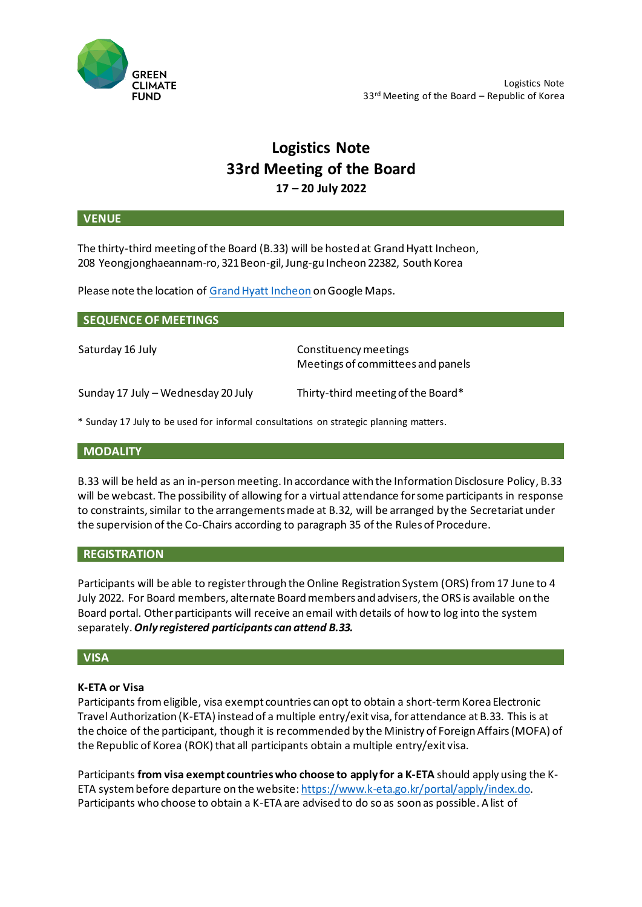

# **Logistics Note 33rd Meeting of the Board 17 – 20 July 2022**

# **VENUE**

The thirty-third meeting of the Board (B.33) will be hosted at Grand Hyatt Incheon, 208 Yeongjonghaeannam-ro, 321 Beon-gil, Jung-gu Incheon 22382, South Korea

Please note the location of [Grand Hyatt Incheon](https://www.google.com/maps/place/Grand+Hyatt+Incheon/@37.4398807,126.456149,15z/data=!4m2!3m1!1s0x0:0xfeedb6966dec5a74?sa=X&ved=2ahUKEwj_oKGd1t3dAhUCwrwKHQJSBGIQ_BIwCnoECAsQCw) on Google Maps.

| <b>SEQUENCE OF MEETINGS</b>        |                                                            |
|------------------------------------|------------------------------------------------------------|
| Saturday 16 July                   | Constituency meetings<br>Meetings of committees and panels |
| Sunday 17 July - Wednesday 20 July | Thirty-third meeting of the Board*                         |

\* Sunday 17 July to be used for informal consultations on strategic planning matters.

### **MODALITY**

B.33 will be held as an in-person meeting. In accordance with the Information Disclosure Policy, B.33 will be webcast. The possibility of allowing for a virtual attendance for some participants in response to constraints, similar to the arrangements made at B.32, will be arranged by the Secretariat under the supervision of the Co-Chairs according to paragraph 35 of the Rules of Procedure.

#### **REGISTRATION**

Participants will be able to register through the Online Registration System (ORS) from 17 June to 4 July 2022. For Board members, alternate Board members and advisers, the ORS is available on the Board portal. Other participants will receive an email with details of how to log into the system separately.*Only registered participants can attend B.33.*

# **VISA**

#### **K-ETA or Visa**

Participants from eligible, visa exempt countries can opt to obtain a short-term Korea Electronic Travel Authorization (K-ETA) instead of a multiple entry/exit visa, for attendance at B.33. This is at the choice of the participant, though it is recommended by the Ministry of Foreign Affairs (MOFA) of the Republic of Korea (ROK) that all participants obtain a multiple entry/exit visa.

Participants **from visa exempt countries who choose to apply for a K-ETA** should apply using the K-ETA system before departure on the website[: https://www.k-eta.go.kr/portal/apply/index.do](https://www.k-eta.go.kr/portal/apply/index.do). Participants who choose to obtain a K-ETA are advised to do so as soon as possible. A list of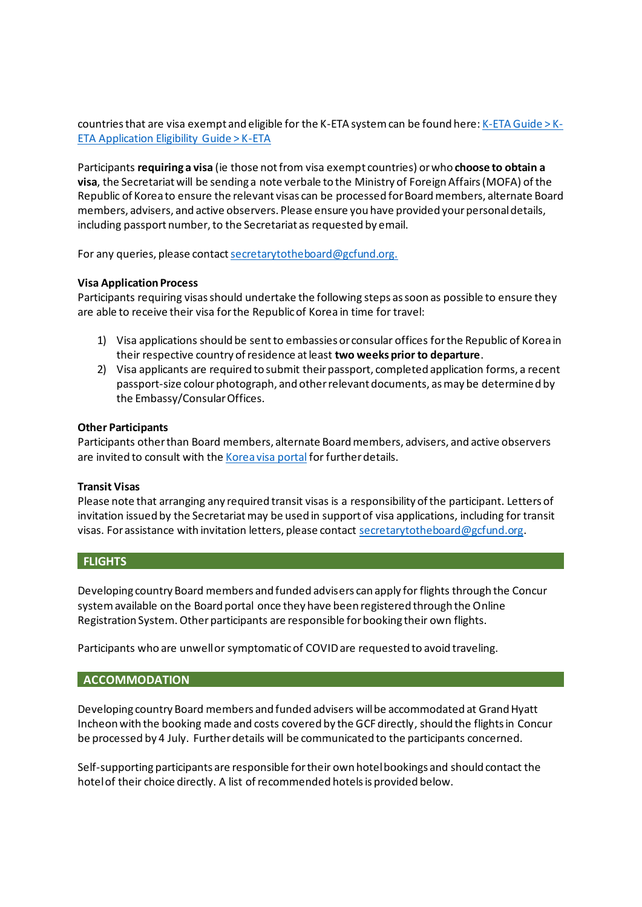countries that are visa exempt and eligible for the K-ETA system can be found here[: K-ETA Guide > K-](https://www.k-eta.go.kr/portal/guide/viewetaalification.do)[ETA Application Eligibility Guide > K-ETA](https://www.k-eta.go.kr/portal/guide/viewetaalification.do)

Participants **requiring a visa** (ie those not from visa exempt countries) or who **choose to obtain a visa**, the Secretariat will be sending a note verbale to the Ministry of Foreign Affairs (MOFA) of the Republic of Korea to ensure the relevant visas can be processed for Board members, alternate Board members, advisers, and active observers. Please ensure you have provided your personal details, including passport number, to the Secretariat as requested by email.

For any queries, please contact secretarytotheboard@gcfund.org.

#### **Visa Application Process**

Participants requiring visas should undertake the following steps as soon as possible to ensure they are able to receive their visa for the Republic of Korea in time for travel:

- 1) Visa applications should be sent to embassies or consular offices for the Republic of Korea in their respective country of residence at least **two weeks prior to departure**.
- 2) Visa applicants are required to submit their passport, completed application forms, a recent passport-size colour photograph, and other relevant documents, as may be determined by the Embassy/Consular Offices.

#### **Other Participants**

Participants other than Board members, alternate Board members, advisers, and active observers are invited to consult with th[e Korea visa](https://www.visa.go.kr/openPage.do?MENU_ID=10101) portal for further details.

#### **Transit Visas**

Please note that arranging any required transit visas is a responsibility of the participant. Letters of invitation issued by the Secretariat may be used in support of visa applications, including for transit visas. For assistance with invitation letters, please contac[t secretarytotheboard@gcfund.org](mailto:secretarytotheboard@gcfund.org).

#### **FLIGHTS**

Developing country Board members and funded advisers can apply for flights through the Concur system available on the Board portal once they have been registered through the Online Registration System. Other participants are responsible for booking their own flights.

Participants who are unwell or symptomaticof COVID are requested to avoid traveling.

#### **ACCOMMODATION**

Developing country Board members and funded advisers will be accommodated at Grand Hyatt Incheon with the booking made and costs covered by the GCF directly, should the flights in Concur be processed by 4 July. Further details will be communicated to the participants concerned.

Self-supporting participants are responsible for their own hotel bookings and should contact the hotel of their choice directly. A list of recommended hotels is provided below.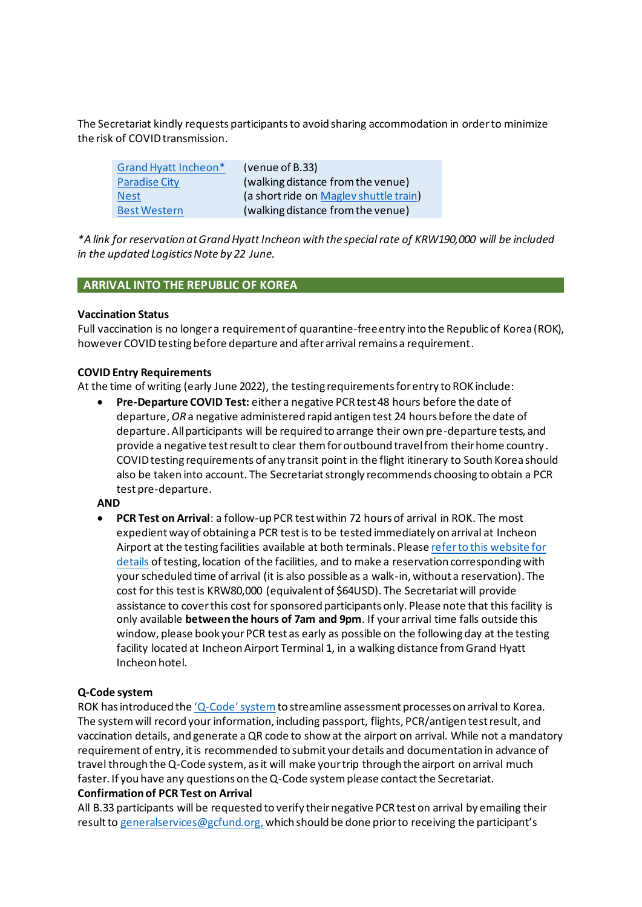The Secretariat kindly requests participants to avoid sharing accommodation in order to minimize the risk of COVID transmission.

| Grand Hyatt Incheon* | (venue of B.33)                        |
|----------------------|----------------------------------------|
| <b>Paradise City</b> | (walking distance from the venue)      |
| <b>Nest</b>          | (a short ride on Maglev shuttle train) |
| <b>Best Western</b>  | (walking distance from the venue)      |

*\*A link for reservation at Grand Hyatt Incheon with the special rate of KRW190,000 will be included in the updated Logistics Note by 22 June.*

## **ARRIVAL INTO THE REPUBLIC OF KOREA**

#### **Vaccination Status**

Full vaccination is no longer a requirement of quarantine-free entry into the Republic of Korea (ROK), however COVID testing before departure and after arrival remains a requirement.

#### **COVID Entry Requirements**

At the time of writing (early June 2022), the testing requirements for entry to ROK include:

• **Pre-Departure COVID Test:** either a negative PCR test 48 hours before the date of departure, *OR*a negative administered rapid antigen test 24 hours before the date of departure. All participants will be required to arrange their own pre-departure tests, and provide a negative test result to clear them for outbound travel from their home country. COVID testing requirements of any transit point in the flight itinerary to South Korea should also be taken into account. The Secretariat strongly recommends choosing to obtain a PCR test pre-departure.

#### **AND**

• **PCR Test on Arrival**: a follow-up PCR test within 72 hours of arrival in ROK. The most expedient way of obtaining a PCR test is to be tested immediately on arrival at Incheon Airport at the testing facilities available at both terminals. Pleas[e referto this website for](https://www.airport.kr/ap_cnt/en/svc/covid19/medica2/medica2.do)  [details](https://www.airport.kr/ap_cnt/en/svc/covid19/medica2/medica2.do) of testing, location of the facilities, and to make a reservation corresponding with your scheduled time of arrival (it is also possible as a walk-in, without a reservation). The cost for this test is KRW80,000 (equivalent of \$64USD). The Secretariat will provide assistance to cover this cost for sponsored participants only. Please note that this facility is only available **between the hours of 7am and 9pm**. If your arrival time falls outside this window, please book your PCR test as early as possible on the following day at the testing facility located at Incheon Airport Terminal 1, in a walking distance from Grand Hyatt Incheon hotel.

#### **Q-Code system**

ROK has introduced the 'Q-[Code' system](https://cov19ent.kdca.go.kr/cpassportal/) to streamline assessment processes on arrival to Korea. The system will record your information, including passport, flights, PCR/antigen test result, and vaccination details, and generate a QR code to show at the airport on arrival. While not a mandatory requirement of entry, it is recommended to submit your details and documentation in advance of travel through the Q-Code system, as it will make your trip through the airport on arrival much faster. If you have any questions on the Q-Code system please contact the Secretariat. **Confirmation of PCR Test on Arrival**

All B.33 participants will be requested to verify their negative PCR test on arrival by emailing their result to [generalservices@gcfund.org](mailto:generalservices@gcfund.org), which should be done prior to receiving the participant's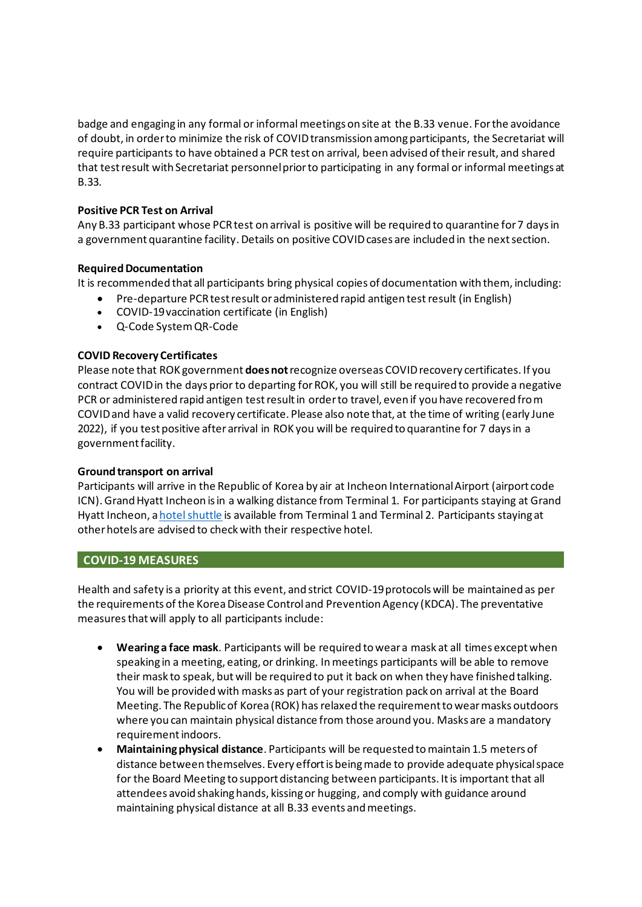badge and engaging in any formal or informal meetings on site at the B.33 venue. For the avoidance of doubt, in order to minimize the risk of COVID transmission among participants, the Secretariat will require participants to have obtained a PCR test on arrival, been advised of their result, and shared that test result with Secretariat personnel prior to participating in any formal or informal meetings at B.33.

# **Positive PCR Test on Arrival**

Any B.33 participant whose PCR test on arrival is positive will be required to quarantine for 7 days in a government quarantine facility. Details on positive COVID cases are included in the next section.

## **Required Documentation**

It is recommended that all participants bring physical copies of documentation with them, including:

- Pre-departure PCR test result or administered rapid antigen test result (in English)
- COVID-19 vaccination certificate (in English)
- Q-Code System QR-Code

## **COVID Recovery Certificates**

Please note that ROK government **does not**recognize overseas COVID recovery certificates. If you contract COVID in the days prior to departing for ROK, you will still be required to provide a negative PCR or administered rapid antigen test result in order to travel, even if you have recovered from COVID and have a valid recovery certificate. Please also note that, at the time of writing (early June 2022), if you test positive after arrival in ROK you will be required to quarantine for 7 days in a government facility.

#### **Ground transport on arrival**

Participants will arrive in the Republic of Korea by air at Incheon International Airport (airport code ICN). Grand Hyatt Incheon is in a walking distance from Terminal 1. For participants staying at Grand Hyatt Incheon, [a hotel shuttle](https://www.hyatt.com/en-US/hotel/south-korea/grand-hyatt-incheon/inche/maps-parking-transportation) is available from Terminal 1 and Terminal 2. Participants staying at other hotels are advised to check with their respective hotel.

# **COVID-19 MEASURES**

Health and safety is a priority at this event, and strict COVID-19protocols will be maintained as per the requirements of the Korea Disease Controland Prevention Agency (KDCA). The preventative measures that will apply to all participants include:

- **Wearing a face mask**. Participants will be required to wear a mask at all times except when speaking in a meeting, eating, or drinking. In meetings participants will be able to remove their mask to speak, but will be required to put it back on when they have finished talking. You will be provided with masks as part of your registration pack on arrival at the Board Meeting. The Republic of Korea (ROK) has relaxed the requirement to wear masks outdoors where you can maintain physical distance from those around you. Masks are a mandatory requirement indoors.
- **Maintaining physical distance**. Participants will be requested to maintain 1.5 meters of distance between themselves. Every effort is being made to provide adequate physical space for the Board Meeting to support distancing between participants. It is important that all attendees avoid shaking hands, kissing or hugging, and comply with guidance around maintaining physical distance at all B.33 events and meetings.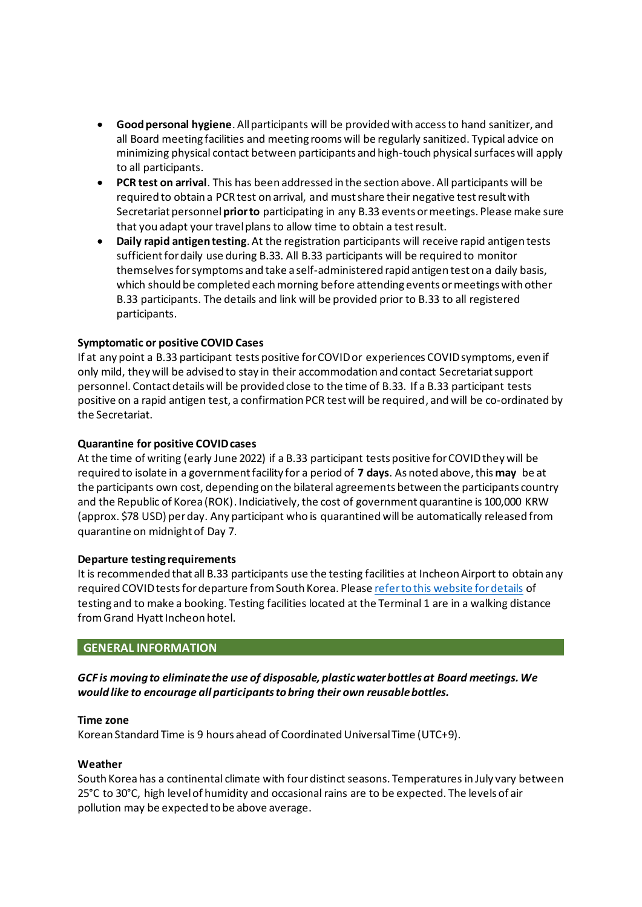- **Good personal hygiene**. All participants will be provided with access to hand sanitizer, and all Board meeting facilities and meeting rooms will be regularly sanitized. Typical advice on minimizing physical contact between participants and high-touch physical surfaces will apply to all participants.
- **PCR test on arrival**. This has been addressed in the section above. All participants will be required to obtain a PCR test on arrival, and must share their negative test result with Secretariat personnel **prior to** participating in any B.33 events or meetings. Please make sure that you adapt your travel plans to allow time to obtain a test result.
- **Daily rapid antigen testing**. At the registration participants will receive rapid antigen tests sufficient for daily use during B.33. All B.33 participants will be required to monitor themselves forsymptoms and take a self-administered rapid antigen test on a daily basis, which should be completed each morning before attending events or meetings with other B.33 participants. The details and link will be provided prior to B.33 to all registered participants.

## **Symptomatic or positive COVID Cases**

If at any point a B.33 participant tests positive for COVID or experiences COVID symptoms, even if only mild, they will be advised to stay in their accommodation and contact Secretariat support personnel. Contact details will be provided close to the time of B.33. If a B.33 participant tests positive on a rapid antigen test, a confirmation PCR test will be required, and will be co-ordinated by the Secretariat.

## **Quarantine for positive COVID cases**

At the time of writing (early June 2022) if a B.33 participant tests positive for COVID they will be required to isolate in a government facility for a period of **7 days**. As noted above, this **may** be at the participants own cost, depending on the bilateral agreements between the participants country and the Republic of Korea (ROK). Indiciatively, the cost of government quarantine is 100,000 KRW (approx. \$78 USD) per day. Any participant who is quarantined will be automatically released from quarantine on midnight of Day 7.

#### **Departure testing requirements**

It is recommended that all B.33 participants use the testing facilities at Incheon Airport to obtain any required COVID testsfor departure from South Korea. Pleas[e refer to this website for details](https://www.airport.kr/ap_cnt/en/svc/covid19/medica2/medica2.do) of testing and to make a booking. Testing facilities located at the Terminal 1 are in a walking distance from Grand Hyatt Incheon hotel.

# **GENERAL INFORMATION**

*GCF is moving to eliminate the use of disposable, plastic water bottles at Board meetings. We would like to encourage all participants to bring their own reusable bottles.*

#### **Time zone**

Korean Standard Time is 9 hours ahead of Coordinated Universal Time (UTC+9).

#### **Weather**

South Korea has a continental climate with four distinct seasons. Temperatures in July vary between 25°C to 30°C, high level of humidity and occasional rains are to be expected. The levels of air pollution may be expected to be above average.